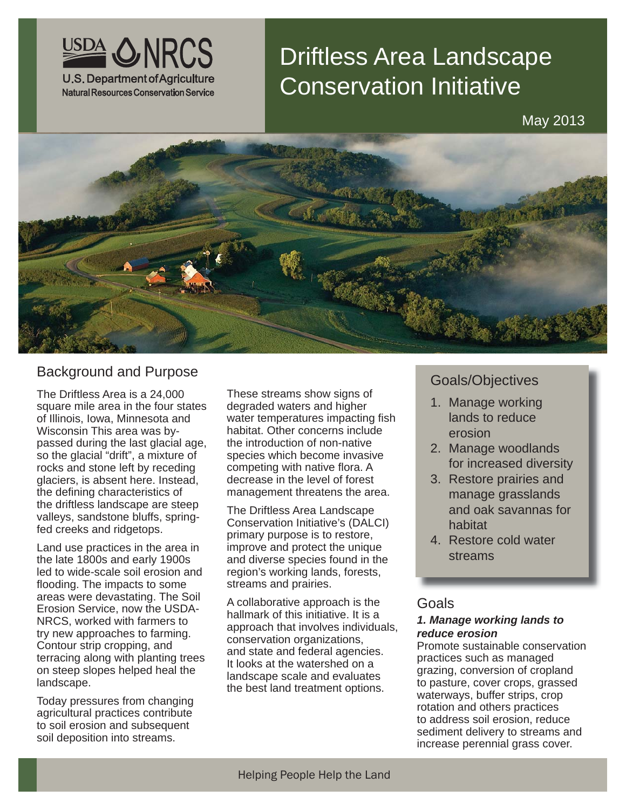

# Driftless Area Landscape Conservation Initiative

May 2013



# Background and Purpose Goals/Objectives

The Driftless Area is a 24,000 square mile area in the four states of Illinois, Iowa, Minnesota and Wisconsin This area was bypassed during the last glacial age, so the glacial "drift", a mixture of rocks and stone left by receding glaciers, is absent here. Instead, the defining characteristics of the driftless landscape are steep valleys, sandstone bluffs, springfed creeks and ridgetops.

Land use practices in the area in the late 1800s and early 1900s led to wide-scale soil erosion and flooding. The impacts to some areas were devastating. The Soil Erosion Service, now the USDA-NRCS, worked with farmers to try new approaches to farming. Contour strip cropping, and terracing along with planting trees on steep slopes helped heal the landscape.

Today pressures from changing agricultural practices contribute to soil erosion and subsequent soil deposition into streams.

These streams show signs of degraded waters and higher water temperatures impacting fish habitat. Other concerns include the introduction of non-native species which become invasive competing with native flora. A decrease in the level of forest management threatens the area.

The Driftless Area Landscape Conservation Initiative's (DALCI) primary purpose is to restore, improve and protect the unique and diverse species found in the region's working lands, forests, streams and prairies.

A collaborative approach is the hallmark of this initiative. It is a approach that involves individuals, conservation organizations, and state and federal agencies. It looks at the watershed on a landscape scale and evaluates the best land treatment options.

- 1. Manage working lands to reduce erosion
- 2. Manage woodlands for increased diversity
- 3. Restore prairies and manage grasslands and oak savannas for habitat
- 4. Restore cold water streams

## Goals

#### *1. Manage working lands to reduce erosion*

Promote sustainable conservation practices such as managed grazing, conversion of cropland to pasture, cover crops, grassed waterways, buffer strips, crop rotation and others practices to address soil erosion, reduce sediment delivery to streams and increase perennial grass cover.